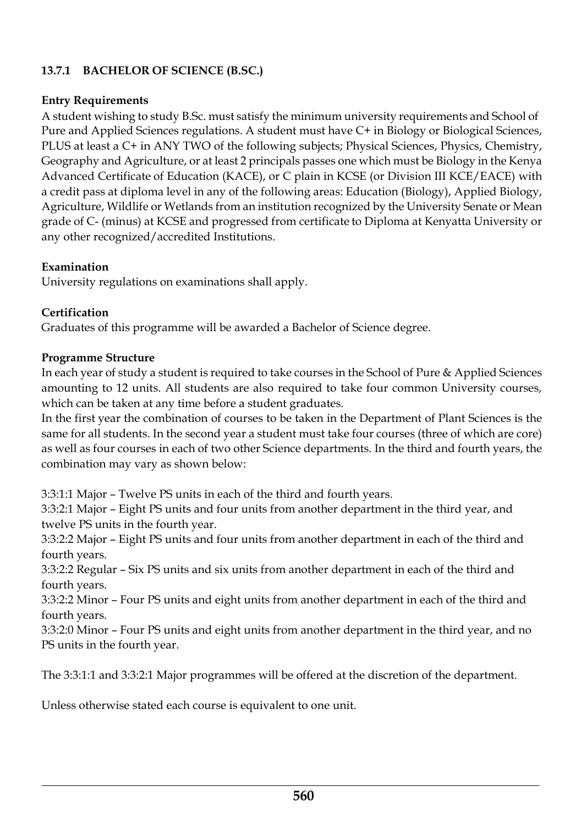# **13.7.1 BACHELOR OF SCIENCE (B.SC.)**

## **Entry Requirements**

A student wishing to study B.Sc. must satisfy the minimum university requirements and School of Pure and Applied Sciences regulations. A student must have C+ in Biology or Biological Sciences, PLUS at least a C+ in ANY TWO of the following subjects; Physical Sciences, Physics, Chemistry, Geography and Agriculture, or at least 2 principals passes one which must be Biology in the Kenya Advanced Certificate of Education (KACE), or C plain in KCSE (or Division III KCE/EACE) with a credit pass at diploma level in any of the following areas: Education (Biology), Applied Biology, Agriculture, Wildlife or Wetlands from an institution recognized by the University Senate or Mean grade ofC- (minus) at KCSE and progressed from certificate to Diploma at Kenyatta University or any other recognized/accredited Institutions.

### **Examination**

University regulations on examinations shall apply.

# **Certification**

Graduates of this programme will be awarded a Bachelor of Science degree.

### **Programme Structure**

In each year of study a student is required to take courses in the School of Pure & Applied Sciences amounting to 12 units. All students are also required to take four common University courses, which can be taken at any time before a student graduates.

In the first year the combination of courses to be taken in the Department of Plant Sciences is the same for all students. In the second year a student must take four courses (three of which are core) as well as four courses in each of two other Science departments. In the third and fourth years, the combination may vary as shown below:

3:3:1:1 Major – Twelve PS units in each of the third and fourth years.

3:3:2:1 Major – Eight PS units and four units from another department in the third year, and twelve PS units in the fourth year.

3:3:2:2 Major – Eight PS units and four units from another department in each of the third and fourth years.

3:3:2:2 Regular – Six PS units and six units from another department in each of the third and fourth years.

3:3:2:2 Minor – Four PS units and eight units from another department in each of the third and fourth years.

3:3:2:0 Minor – Four PS units and eight units from another department in the third year, and no PS units in the fourth year.

The 3:3:1:1 and 3:3:2:1 Major programmes will be offered at the discretion of the department.

Unless otherwise stated each course is equivalent to one unit.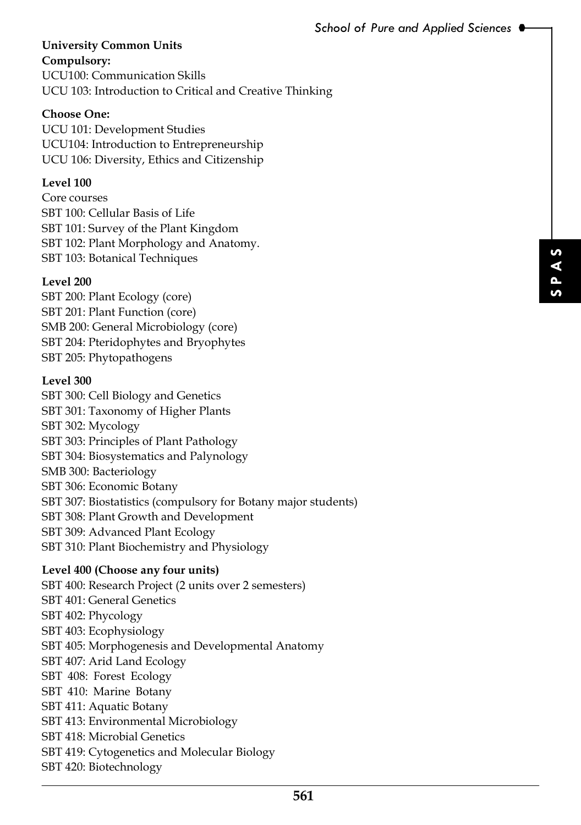#### **University Common Units Compulsory:**

UCU100: Communication Skills UCU 103: Introduction to Critical and Creative Thinking

### **Choose One:**

UCU 101: Development Studies UCU104: Introduction to Entrepreneurship UCU 106: Diversity, Ethics and Citizenship

### **Level 100**

Core courses SBT 100: Cellular Basis of Life SBT 101: Survey of the Plant Kingdom SBT 102: Plant Morphology and Anatomy. SBT 103: Botanical Techniques

### **Level 200**

SBT 200: Plant Ecology (core) SBT 201: Plant Function (core) SMB 200: General Microbiology (core) SBT 204: Pteridophytes and Bryophytes SBT 205: Phytopathogens

### **Level 300**

for students)<br>
FS<br> **561** SBT 300: Cell Biology and Genetics SBT 301: Taxonomy of Higher Plants SBT 302: Mycology SBT 303: Principles of Plant Pathology SBT 304: Biosystematics and Palynology SMB 300: Bacteriology SBT 306: Economic Botany SBT 307: Biostatistics (compulsory for Botany major students) SBT 308: Plant Growth and Development SBT 309: Advanced Plant Ecology SBT 310: Plant Biochemistry and Physiology

# **Level 400 (Choose any four units)**

SBT 400: Research Project (2 units over 2 semesters) SBT 401: General Genetics SBT 402: Phycology SBT 403: Ecophysiology SBT 405: Morphogenesis and Developmental Anatomy SBT 407: Arid Land Ecology SBT 408: Forest Ecology SBT 410: Marine Botany SBT 411: Aquatic Botany SBT 413: Environmental Microbiology SBT 418: Microbial Genetics SBT 419: Cytogenetics and Molecular Biology SBT 420: Biotechnology